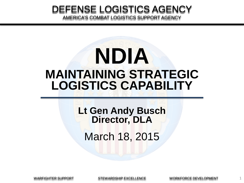#### DEFENSE LOGISTICS AGENCY AMERICA'S COMBAT LOGISTICS SUPPORT AGENCY

# **NDIA MAINTAINING STRATEGIC LOGISTICS CAPABILITY**

**Lt Gen Andy Busch Director, DLA** March 18, 2015

WARFIGHTER SUPPORT STEWARDSHIP EXCELLENCE WORKFORCE DEVELOPMENT

1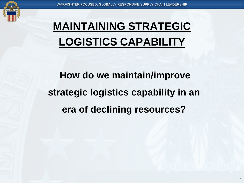

#### **MAINTAINING STRATEGIC LOGISTICS CAPABILITY**

# **How do we maintain/improve strategic logistics capability in an era of declining resources?**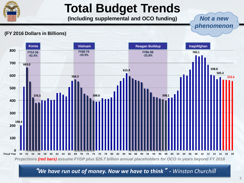

### **Total Budget Trends**

**(Including supplemental and OCO funding)**

*Not a new phenomenon*

#### **(FY 2016 Dollars in Billions)**



"*We have run out of money. Now we have to think*" *- Winston Churchill*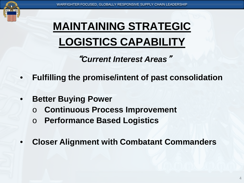

# **MAINTAINING STRATEGIC LOGISTICS CAPABILITY**

"*Current Interest Areas*"

- **Fulfilling the promise/intent of past consolidation**
- **Better Buying Power** 
	- o **Continuous Process Improvement**
	- o **Performance Based Logistics**
- **Closer Alignment with Combatant Commanders**